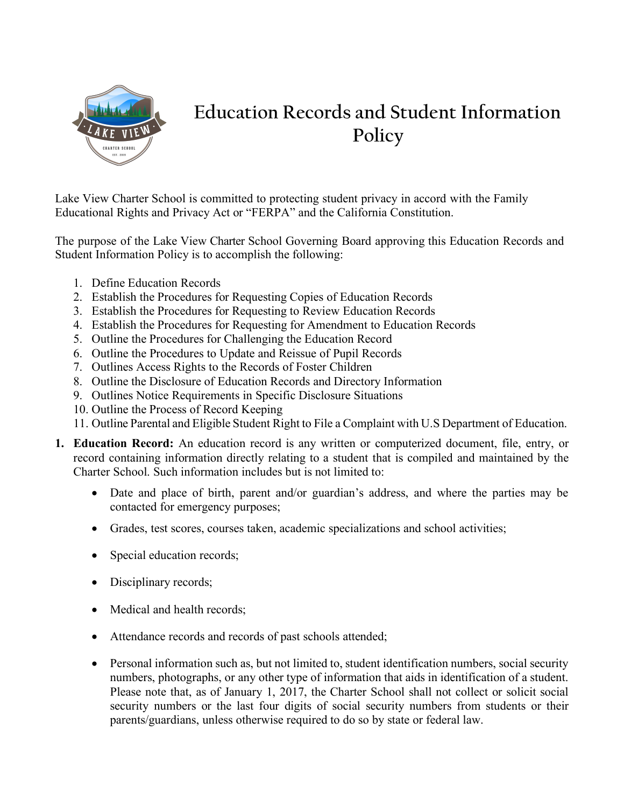

## **Education Records and Student Information Policy**

Lake View Charter School is committed to protecting student privacy in accord with the Family Educational Rights and Privacy Act or "FERPA" and the California Constitution.

The purpose of the Lake View Charter School Governing Board approving this Education Records and Student Information Policy is to accomplish the following:

- 1. Define Education Records
- 2. Establish the Procedures for Requesting Copies of Education Records
- 3. Establish the Procedures for Requesting to Review Education Records
- 4. Establish the Procedures for Requesting for Amendment to Education Records
- 5. Outline the Procedures for Challenging the Education Record
- 6. Outline the Procedures to Update and Reissue of Pupil Records
- 7. Outlines Access Rights to the Records of Foster Children
- 8. Outline the Disclosure of Education Records and Directory Information
- 9. Outlines Notice Requirements in Specific Disclosure Situations
- 10. Outline the Process of Record Keeping
- 11. Outline Parental and Eligible Student Right to File a Complaint with U.S Department of Education.
- **1. Education Record:** An education record is any written or computerized document, file, entry, or record containing information directly relating to a student that is compiled and maintained by the Charter School. Such information includes but is not limited to:
	- Date and place of birth, parent and/or guardian's address, and where the parties may be contacted for emergency purposes;
	- Grades, test scores, courses taken, academic specializations and school activities;
	- Special education records;
	- Disciplinary records;
	- Medical and health records;
	- Attendance records and records of past schools attended;
	- Personal information such as, but not limited to, student identification numbers, social security numbers, photographs, or any other type of information that aids in identification of a student. Please note that, as of January 1, 2017, the Charter School shall not collect or solicit social security numbers or the last four digits of social security numbers from students or their parents/guardians, unless otherwise required to do so by state or federal law.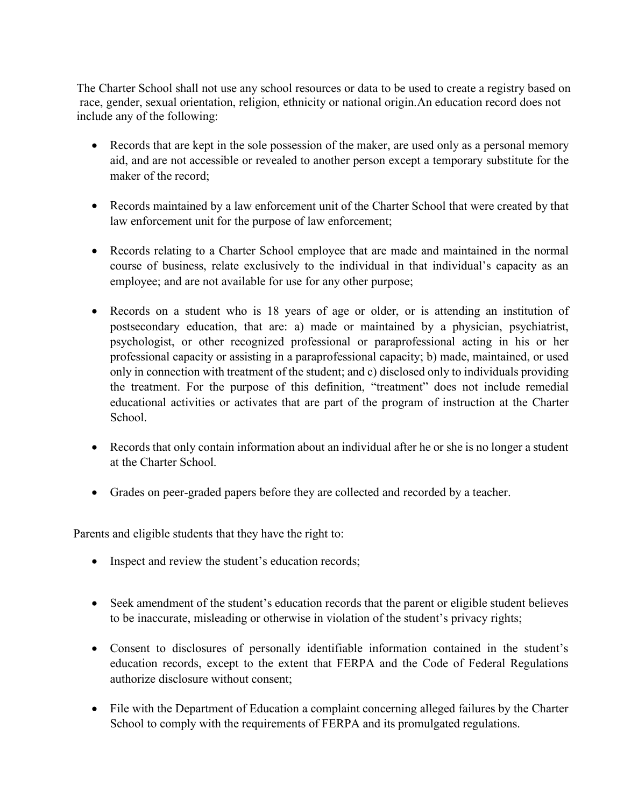The Charter School shall not use any school resources or data to be used to create a registry based on race, gender, sexual orientation, religion, ethnicity or national origin.An education record does not include any of the following:

- Records that are kept in the sole possession of the maker, are used only as a personal memory aid, and are not accessible or revealed to another person except a temporary substitute for the maker of the record;
- Records maintained by a law enforcement unit of the Charter School that were created by that law enforcement unit for the purpose of law enforcement;
- Records relating to a Charter School employee that are made and maintained in the normal course of business, relate exclusively to the individual in that individual's capacity as an employee; and are not available for use for any other purpose;
- Records on a student who is 18 years of age or older, or is attending an institution of postsecondary education, that are: a) made or maintained by a physician, psychiatrist, psychologist, or other recognized professional or paraprofessional acting in his or her professional capacity or assisting in a paraprofessional capacity; b) made, maintained, or used only in connection with treatment of the student; and c) disclosed only to individuals providing the treatment. For the purpose of this definition, "treatment" does not include remedial educational activities or activates that are part of the program of instruction at the Charter School.
- Records that only contain information about an individual after he or she is no longer a student at the Charter School.
- Grades on peer-graded papers before they are collected and recorded by a teacher.

Parents and eligible students that they have the right to:

- Inspect and review the student's education records;
- Seek amendment of the student's education records that the parent or eligible student believes to be inaccurate, misleading or otherwise in violation of the student's privacy rights;
- Consent to disclosures of personally identifiable information contained in the student's education records, except to the extent that FERPA and the Code of Federal Regulations authorize disclosure without consent;
- File with the Department of Education a complaint concerning alleged failures by the Charter School to comply with the requirements of FERPA and its promulgated regulations.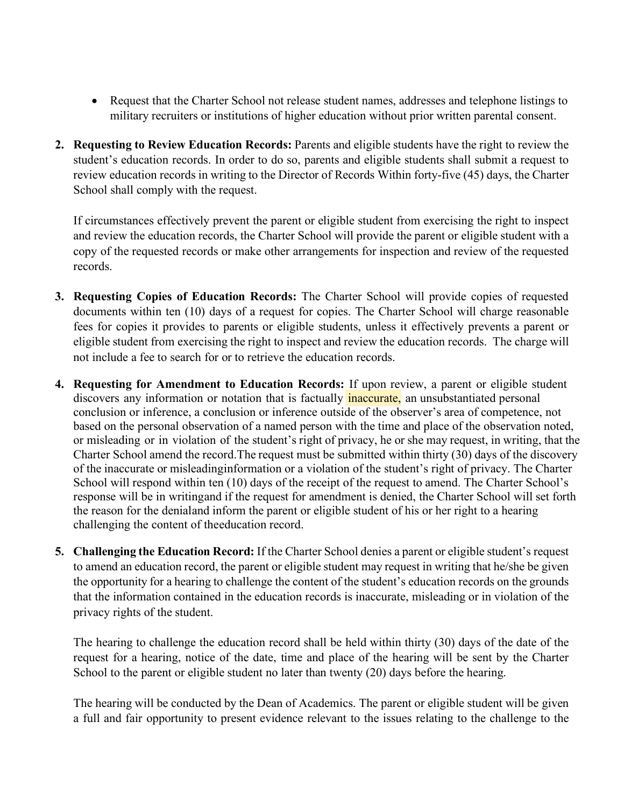- Request that the Charter School not release student names, addresses and telephone listings to military recruiters or institutions of higher education without prior written parental consent.
- **2. Requesting to Review Education Records:** Parents and eligible students have the right to review the student's education records. In order to do so, parents and eligible students shall submit a request to review education records in writing to the Director of Records Within forty-five (45) days, the Charter School shall comply with the request.

If circumstances effectively prevent the parent or eligible student from exercising the right to inspect and review the education records, the Charter School will provide the parent or eligible student with a copy of the requested records or make other arrangements for inspection and review of the requested records.

- **3. Requesting Copies of Education Records:** The Charter School will provide copies of requested documents within ten (10) days of a request for copies. The Charter School will charge reasonable fees for copies it provides to parents or eligible students, unless it effectively prevents a parent or eligible student from exercising the right to inspect and review the education records. The charge will not include a fee to search for or to retrieve the education records.
- discovers any information or notation that is factually **inaccurate**, an unsubstantiated personal **4. Requesting for Amendment to Education Records:** If upon review, a parent or eligible student conclusion or inference, a conclusion or inference outside of the observer's area of competence, not based on the personal observation of a named person with the time and place of the observation noted, or misleading or in violation of the student's right of privacy, he or she may request, in writing, that the Charter School amend the record. The request must be submitted within thirty (30) days of the discovery of the inaccurate or misleadinginformation or a violation of the student's right of privacy. The Charter School will respond within ten (10) days of the receipt of the request to amend. The Charter School's response will be in writingand if the request for amendment is denied, the Charter School will set forth the reason for the denialand inform the parent or eligible student of his or her right to a hearing challenging the content of theeducation record.
- **5. Challenging the Education Record:** If the Charter School denies a parent or eligible student's request to amend an education record, the parent or eligible student may request in writing that he/she be given the opportunity for a hearing to challenge the content of the student's education records on the grounds that the information contained in the education records is inaccurate, misleading or in violation of the privacy rights of the student.

The hearing to challenge the education record shall be held within thirty (30) days of the date of the request for a hearing, notice of the date, time and place of the hearing will be sent by the Charter School to the parent or eligible student no later than twenty (20) days before the hearing.

The hearing will be conducted by the Dean of Academics. The parent or eligible student will be given a full and fair opportunity to present evidence relevant to the issues relating to the challenge to the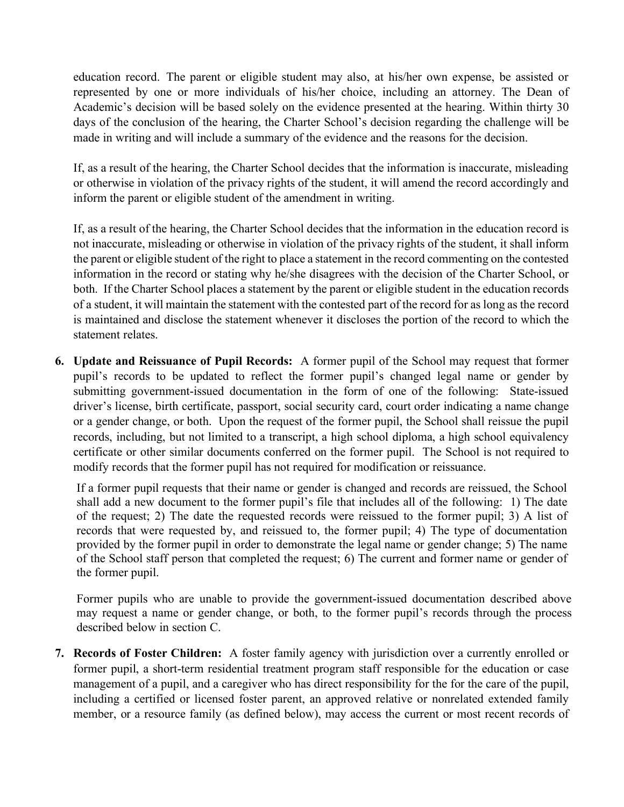education record. The parent or eligible student may also, at his/her own expense, be assisted or represented by one or more individuals of his/her choice, including an attorney. The Dean of Academic's decision will be based solely on the evidence presented at the hearing. Within thirty 30 days of the conclusion of the hearing, the Charter School's decision regarding the challenge will be made in writing and will include a summary of the evidence and the reasons for the decision.

If, as a result of the hearing, the Charter School decides that the information is inaccurate, misleading or otherwise in violation of the privacy rights of the student, it will amend the record accordingly and inform the parent or eligible student of the amendment in writing.

If, as a result of the hearing, the Charter School decides that the information in the education record is not inaccurate, misleading or otherwise in violation of the privacy rights of the student, it shall inform the parent or eligible student of the right to place a statement in the record commenting on the contested information in the record or stating why he/she disagrees with the decision of the Charter School, or both. If the Charter School places a statement by the parent or eligible student in the education records of a student, it will maintain the statement with the contested part of the record for as long as the record is maintained and disclose the statement whenever it discloses the portion of the record to which the statement relates.

**6. Update and Reissuance of Pupil Records:** A former pupil of the School may request that former pupil's records to be updated to reflect the former pupil's changed legal name or gender by submitting government-issued documentation in the form of one of the following: State-issued driver's license, birth certificate, passport, social security card, court order indicating a name change or a gender change, or both. Upon the request of the former pupil, the School shall reissue the pupil records, including, but not limited to a transcript, a high school diploma, a high school equivalency certificate or other similar documents conferred on the former pupil. The School is not required to modify records that the former pupil has not required for modification or reissuance.

If a former pupil requests that their name or gender is changed and records are reissued, the School shall add a new document to the former pupil's file that includes all of the following: 1) The date of the request; 2) The date the requested records were reissued to the former pupil; 3) A list of records that were requested by, and reissued to, the former pupil; 4) The type of documentation provided by the former pupil in order to demonstrate the legal name or gender change; 5) The name of the School staff person that completed the request; 6) The current and former name or gender of the former pupil.

Former pupils who are unable to provide the government-issued documentation described above may request a name or gender change, or both, to the former pupil's records through the process described below in section C.

**7. Records of Foster Children:** A foster family agency with jurisdiction over a currently enrolled or former pupil, a short-term residential treatment program staff responsible for the education or case management of a pupil, and a caregiver who has direct responsibility for the for the care of the pupil, including a certified or licensed foster parent, an approved relative or nonrelated extended family member, or a resource family (as defined below), may access the current or most recent records of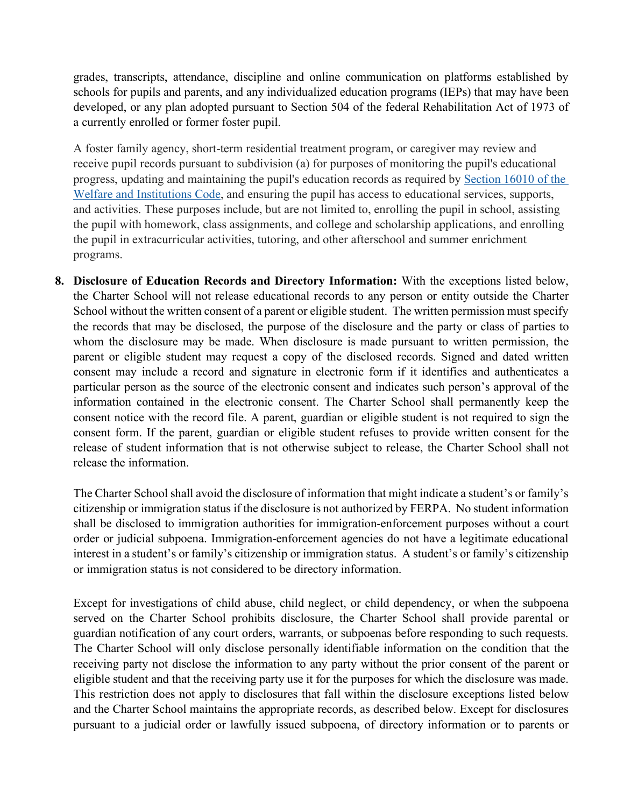grades, transcripts, attendance, discipline and online communication on platforms established by schools for pupils and parents, and any individualized education programs (IEPs) that may have been developed, or any plan adopted pursuant to Section 504 of the federal Rehabilitation Act of 1973 of a currently enrolled or former foster pupil.

A foster family agency, short-term residential treatment program, or caregiver may review and receive pupil records pursuant to subdivision (a) for purposes of monitoring the pupil's educational progress, updating and maintaining the pupil's education records as required by [Section 16010 of the](https://1.next.westlaw.com/Link/Document/FullText?findType=L&pubNum=1000228&cite=CAWIS16010&originatingDoc=N3BF8FE50B30D11E7BE16FA5DEEFE2567&refType=LQ&originationContext=document&transitionType=DocumentItem&contextData=(sc.UserEnteredCitation))  [Welfare and Institutions Code,](https://1.next.westlaw.com/Link/Document/FullText?findType=L&pubNum=1000228&cite=CAWIS16010&originatingDoc=N3BF8FE50B30D11E7BE16FA5DEEFE2567&refType=LQ&originationContext=document&transitionType=DocumentItem&contextData=(sc.UserEnteredCitation)) and ensuring the pupil has access to educational services, supports, and activities. These purposes include, but are not limited to, enrolling the pupil in school, assisting the pupil with homework, class assignments, and college and scholarship applications, and enrolling the pupil in extracurricular activities, tutoring, and other afterschool and summer enrichment programs.

**8. Disclosure of Education Records and Directory Information:** With the exceptions listed below, the Charter School will not release educational records to any person or entity outside the Charter School without the written consent of a parent or eligible student. The written permission must specify the records that may be disclosed, the purpose of the disclosure and the party or class of parties to whom the disclosure may be made. When disclosure is made pursuant to written permission, the parent or eligible student may request a copy of the disclosed records. Signed and dated written consent may include a record and signature in electronic form if it identifies and authenticates a particular person as the source of the electronic consent and indicates such person's approval of the information contained in the electronic consent. The Charter School shall permanently keep the consent notice with the record file. A parent, guardian or eligible student is not required to sign the consent form. If the parent, guardian or eligible student refuses to provide written consent for the release of student information that is not otherwise subject to release, the Charter School shall not release the information.

The Charter School shall avoid the disclosure of information that might indicate a student's or family's citizenship or immigration status if the disclosure is not authorized by FERPA. No student information shall be disclosed to immigration authorities for immigration-enforcement purposes without a court order or judicial subpoena. Immigration-enforcement agencies do not have a legitimate educational interest in a student's or family's citizenship or immigration status. A student's or family's citizenship or immigration status is not considered to be directory information.

Except for investigations of child abuse, child neglect, or child dependency, or when the subpoena served on the Charter School prohibits disclosure, the Charter School shall provide parental or guardian notification of any court orders, warrants, or subpoenas before responding to such requests. The Charter School will only disclose personally identifiable information on the condition that the receiving party not disclose the information to any party without the prior consent of the parent or eligible student and that the receiving party use it for the purposes for which the disclosure was made. This restriction does not apply to disclosures that fall within the disclosure exceptions listed below and the Charter School maintains the appropriate records, as described below. Except for disclosures pursuant to a judicial order or lawfully issued subpoena, of directory information or to parents or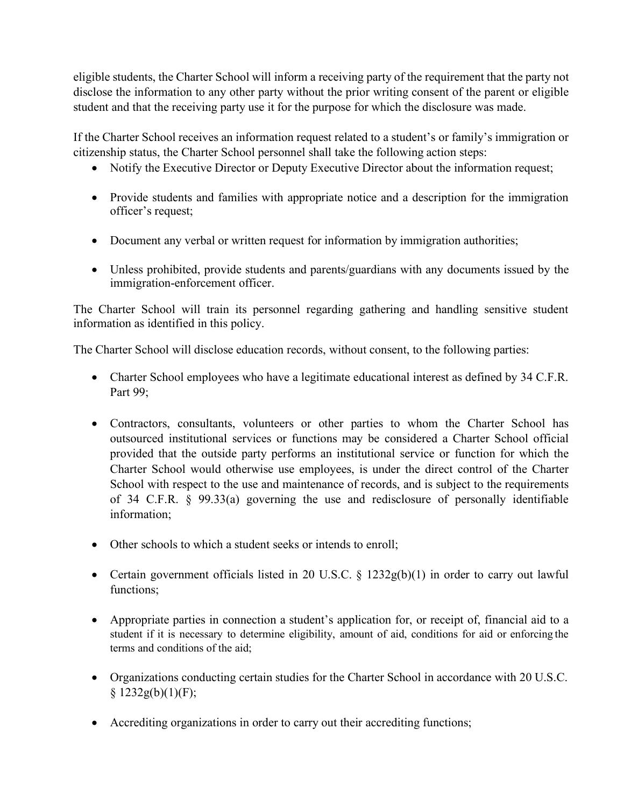eligible students, the Charter School will inform a receiving party of the requirement that the party not disclose the information to any other party without the prior writing consent of the parent or eligible student and that the receiving party use it for the purpose for which the disclosure was made.

If the Charter School receives an information request related to a student's or family's immigration or citizenship status, the Charter School personnel shall take the following action steps:

- Notify the Executive Director or Deputy Executive Director about the information request;
- Provide students and families with appropriate notice and a description for the immigration officer's request;
- Document any verbal or written request for information by immigration authorities;
- Unless prohibited, provide students and parents/guardians with any documents issued by the immigration-enforcement officer.

The Charter School will train its personnel regarding gathering and handling sensitive student information as identified in this policy.

The Charter School will disclose education records, without consent, to the following parties:

- Charter School employees who have a legitimate educational interest as defined by 34 C.F.R. Part 99;
- Contractors, consultants, volunteers or other parties to whom the Charter School has outsourced institutional services or functions may be considered a Charter School official provided that the outside party performs an institutional service or function for which the Charter School would otherwise use employees, is under the direct control of the Charter School with respect to the use and maintenance of records, and is subject to the requirements of 34 C.F.R. § 99.33(a) governing the use and redisclosure of personally identifiable information;
- Other schools to which a student seeks or intends to enroll;
- Certain government officials listed in 20 U.S.C.  $\S$  1232g(b)(1) in order to carry out lawful functions;
- Appropriate parties in connection a student's application for, or receipt of, financial aid to a student if it is necessary to determine eligibility, amount of aid, conditions for aid or enforcing the terms and conditions of the aid;
- Organizations conducting certain studies for the Charter School in accordance with 20 U.S.C.  $§$  1232g(b)(1)(F);
- Accrediting organizations in order to carry out their accrediting functions;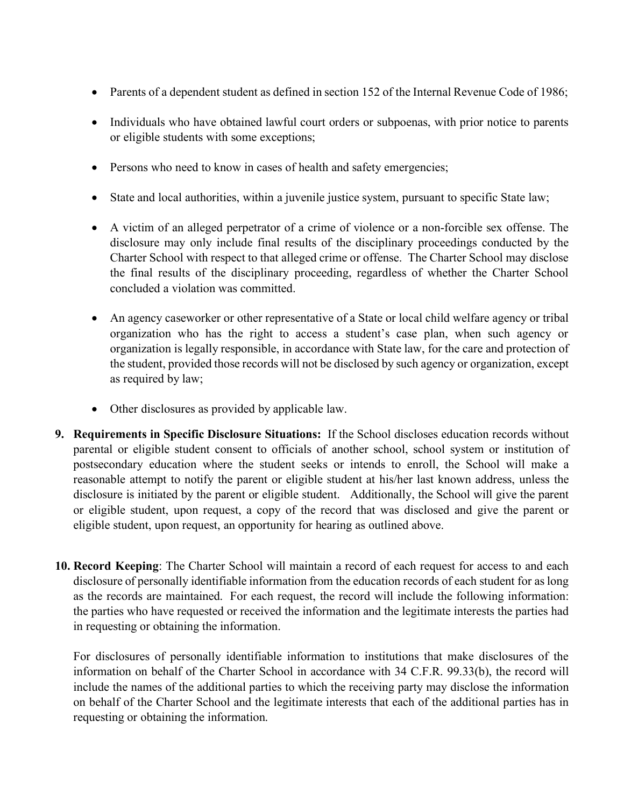- Parents of a dependent student as defined in section 152 of the Internal [Revenue](http://www.lexis.com/research/buttonTFLink?_m=6abc13686deebc8da5c10abc89f02b9d&_xfercite=%3ccite%20cc%3d%22USA%22%3e%3c%21%5bCDATA%5b34%20CFR%2099.31%5d%5d%3e%3c%2fcite%3e&_butType=4&_butStat=0&_butNum=3&_butInline=1&_butinfo=26%20USC%20152&_fmtstr=FULL&docnum=1&_startdoc=1&wchp=dGLbVlb-zSkAl&_md5=e6f62af1ce041b02d5bf8cf8786c505b) Code of 1986;
- Individuals who have obtained lawful court orders or subpoenas, with prior notice to parents or eligible students with some exceptions;
- Persons who need to know in cases of health and safety emergencies;
- State and local authorities, within a juvenile justice system, pursuant to specific State law;
- A victim of an alleged perpetrator of a crime of violence or a non-forcible sex offense. The disclosure may only include final results of the disciplinary proceedings conducted by the Charter School with respect to that alleged crime or offense. The Charter School may disclose the final results of the disciplinary proceeding, regardless of whether the Charter School concluded a violation was committed.
- An agency caseworker or other representative of a State or local child welfare agency or tribal organization who has the right to access a student's case plan, when such agency or organization is legally responsible, in accordance with State law, for the care and protection of the student, provided those records will not be disclosed by such agency or organization, except as required by law;
- Other disclosures as provided by applicable law.
- **9. Requirements in Specific Disclosure Situations:** If the School discloses education records without parental or eligible student consent to officials of another school, school system or institution of postsecondary education where the student seeks or intends to enroll, the School will make a reasonable attempt to notify the parent or eligible student at his/her last known address, unless the disclosure is initiated by the parent or eligible student. Additionally, the School will give the parent or eligible student, upon request, a copy of the record that was disclosed and give the parent or eligible student, upon request, an opportunity for hearing as outlined above.
- **10. Record Keeping**: The Charter School will maintain a record of each request for access to and each disclosure of personally identifiable information from the education records of each student for aslong as the records are maintained. For each request, the record will include the following information: the parties who have requested or received the information and the legitimate interests the parties had in requesting or obtaining the information.

For disclosures of personally identifiable information to institutions that make disclosures of the information on behalf of the Charter School in accordance with 34 C.F.R. 99.33(b), the record will include the names of the additional parties to which the receiving party may disclose the information on behalf of the Charter School and the legitimate interests that each of the additional parties has in requesting or obtaining the information.